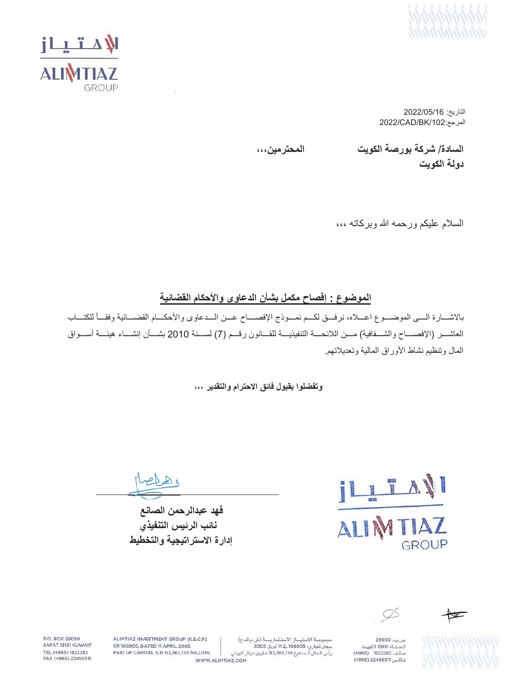



 $2022/05/16$ <sup> $||$ ا</sup>لتاريخ: 2022/CAD/BK/102:

**ˬˬˬϥϳϣέΗΣϣϟ ΕϳϭϛϟΔλέϭΑΔϛέη** /**ΓΩΎγϟ** دولة الكوي*ت* 

السلام عليكم ورحمه الله وبركاته ،،،

الموضوع : إفصاح مكمل بشأن الدعاوى والأحكام القضائية

بالاشـــارة الـــي الموضـــوع اعـــلاه، نرفــق لكـــم نمـــوذج الإفصـــاح عـــن الـــدعاوي والأحكـــام القضـــائية وفقــأ للكتـــاب العاشـــر (الإفصــــاح والشـــفافية) مـــن اللائحــــة التنفيذيــــة للقـــانون رقـــم (7) لســـنة 2010 بشـــأن إنشـــاء هيئـــة أســـواق المال وتنظيم نشاط الأوراق المالية وتعديلاتهم

**وتفضلوا بقبول فائق الاحترام والتقدير ،،،** 

H GROUP

Meldo

فهد عبدالرحم*ن* الصانع نائب الرئيس التنفيذ*ي* إدارة الاستراتيجية والتخطيط

K

ص بب، 29050 .<br>الصفــاة 13151 الكويت هاتف 1822282 (4965) فاكس 22495511 (+965)

 $\oslash$ 

مجموعة الامتياز الاستثمارية (ش.م ك.ع) سجل تجاري: 106905 في 11 أبريل 2005 رأس الـمال الـمدفوع 113,361,735 مـليون دينار كـويتي

ALIMTIAZ INVESTMENT GROUP (K.S.C.P) CR 106905, DATED 11 APRIL 2005 PAID UP CAPITAL K.D 113,361,735 MILLION WWW.ALIMTIAZ.COM

P.O. BOX 29050 SAFAT 13151 KUWAIT TEL (+965) 1822282 FAX (+965) 22495511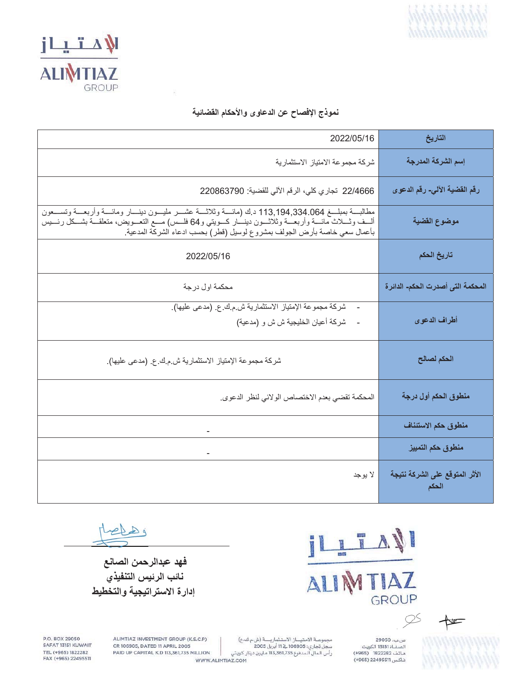



## نموذج الإفصاح عن الدعاوى والأحكام القضائية

| 2022/05/16                                                                                                                                                                                                                                                                                        | التاريخ                                 |
|---------------------------------------------------------------------------------------------------------------------------------------------------------------------------------------------------------------------------------------------------------------------------------------------------|-----------------------------------------|
| شركة مجموعة الامتياز الاستثمارية                                                                                                                                                                                                                                                                  | إسم الشركة المدرجة                      |
| 22/4666 تجاري كلي، الرقم الآلي للقضية: 220863790                                                                                                                                                                                                                                                  | رقم القضية الآلي- رقم الدعوى            |
| مطالبسة بمبلسغ 113,194,334.064 د.ك (مائسة وثلاثسة عشسر مليسون دينسار ومائسة وأربعسة وتسسعون<br>ألــف وثـــلاث مائـــة وأربعـــة وثلاثـــون دينـــار كـــويتي و64 فلـــس) مـــع التعـــويض، متعلقـــة بشـــكل رئـــيس<br>بأعمال سعي خاصة بأرض الجولف بمشروع لوسيل (قطر) بحسب ادعاء الشركة المدعية. | موضوع القضية                            |
| 2022/05/16                                                                                                                                                                                                                                                                                        | تاريخ الحكم                             |
| محكمة اول درجة                                                                                                                                                                                                                                                                                    | المحكمة التى أصدرت الحكم- الدائرة       |
| شركة مجموعة الإمتياز الاستثمارية ش م ك ع (مدعى عليها).<br>شركة أعيان الخليجية ش ش و (مدعية)<br>$\overline{\phantom{a}}$                                                                                                                                                                           | أطراف الدعوى                            |
| شركة مجموعة الإمتياز الاستثمارية ش م ك ع. (مدعى عليها).                                                                                                                                                                                                                                           | الحكم لصالح                             |
| المحكمة تقضي بعدم الاختصاص الولائي لنظر الدعوى.                                                                                                                                                                                                                                                   | منطوق الحكم أول درجة                    |
|                                                                                                                                                                                                                                                                                                   | منطوق حكم الاستئناف                     |
|                                                                                                                                                                                                                                                                                                   | منطوق حكم التمييز                       |
| لا يوجد                                                                                                                                                                                                                                                                                           | الأثر المتوقع على الشركة نتيجة<br>الحكم |



فكلطامخ

فهد عبدالرحم*ن* الصانع نائب الرئيس التنفيذ*ي* إدارة الاستراتيجية والتخطيط

> $\varphi$  $\approx$

ص،ب، 29050<br>الصفــاة 13151 الكويت<br>هـاتـف 1822282 (4965+) فاكس 22495511 (+965)

WWW.ALIMTIAZ.COM

ALIMTIAZ INVESTMENT GROUP (K.S.C.P) CR 106905, DATED 11 APRIL 2005 PAID UP CAPITAL K.D 113,361,735 MILLION

**P.O. BOX 29050<br>SAFAT 13151 KUWAIT** TEL (+965) 1822282 FAX (+965) 22495511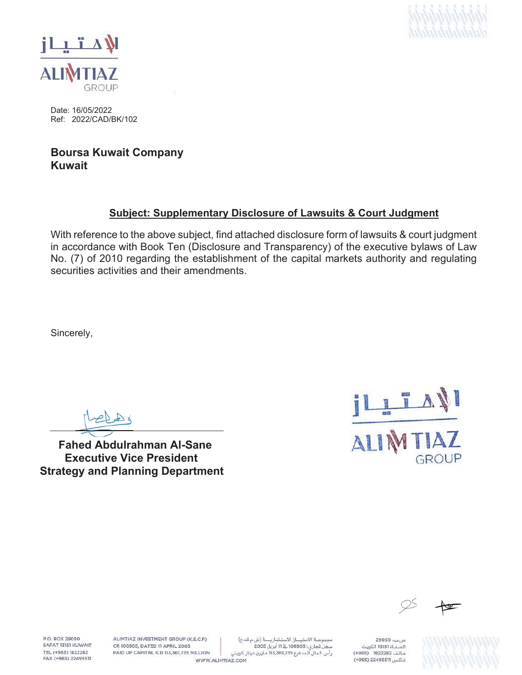



Date: 16/05/2022 Ref: 2022/CAD/BK/102

## **Boursa Kuwait Company Kuwait**

## **Subject: Supplementary Disclosure of Lawsuits & Court Judgment**

With reference to the above subject, find attached disclosure form of lawsuits & court judgment in accordance with Book Ten (Disclosure and Transparency) of the executive bylaws of Law No. (7) of 2010 regarding the establishment of the capital markets authority and regulating securities activities and their amendments.

Sincerely,

 **Fahed Abdulrahman Al-Sane Executive Vice President Strategy and Planning Department**





**P.O. ROY 29050** SAFAT 13151 KUWAIT TEL (+965) 1822282 FAX (+965) 22495511 ALIMTIAZ INVESTMENT GROUP (K.S.C.P) CR 106905, DATED 11 APRIL 2005 PAID UP CAPITAL K.D 113,361,735 MILLION

مجموعة الامتياز الاستثمارية (ش مك ع) سجل تجاري: 106905 فے 11 أبريل 2005 رأس الـمال الـمدفوع 113,361,735 مـليون دينار كـويتي WWW.ALIMTIAZ.COM

ص بب، 29050 .<br>الصفــاة 13151 الكويت هاتف 1822282 (4965) فاكس 22495511 (965+)